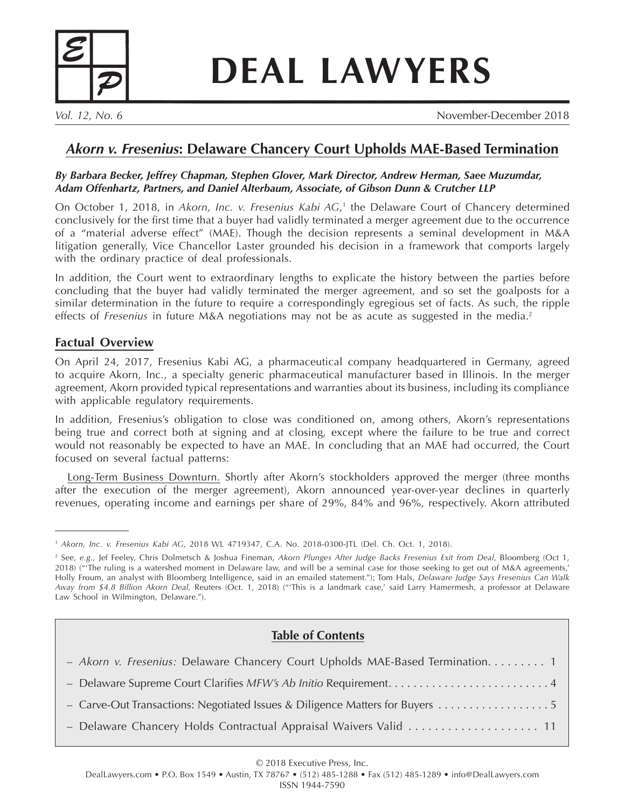

# **DEAL LAWYERS**

*Vol. 12, No. 6* November-December 2018

## *Akorn v. Fresenius***: Delaware Chancery Court Upholds MAE-Based Termination**

#### *By Barbara Becker, Jeffrey Chapman, Stephen Glover, Mark Director, Andrew Herman, Saee Muzumdar, Adam Offenhartz, Partners, and Daniel Alterbaum, Associate, of Gibson Dunn & Crutcher LLP*

On October 1, 2018, in *Akorn, Inc. v. Fresenius Kabi AG*,<sup>1</sup> the Delaware Court of Chancery determined conclusively for the first time that a buyer had validly terminated a merger agreement due to the occurrence of a "material adverse effect" (MAE). Though the decision represents a seminal development in M&A litigation generally, Vice Chancellor Laster grounded his decision in a framework that comports largely with the ordinary practice of deal professionals.

In addition, the Court went to extraordinary lengths to explicate the history between the parties before concluding that the buyer had validly terminated the merger agreement, and so set the goalposts for a similar determination in the future to require a correspondingly egregious set of facts. As such, the ripple effects of *Fresenius* in future M&A negotiations may not be as acute as suggested in the media. 2

### **Factual Overview**

On April 24, 2017, Fresenius Kabi AG, a pharmaceutical company headquartered in Germany, agreed to acquire Akorn, Inc., a specialty generic pharmaceutical manufacturer based in Illinois. In the merger agreement, Akorn provided typical representations and warranties about its business, including its compliance with applicable regulatory requirements.

In addition, Fresenius's obligation to close was conditioned on, among others, Akorn's representations being true and correct both at signing and at closing, except where the failure to be true and correct would not reasonably be expected to have an MAE. In concluding that an MAE had occurred, the Court focused on several factual patterns:

Long-Term Business Downturn. Shortly after Akorn's stockholders approved the merger (three months after the execution of the merger agreement), Akorn announced year-over-year declines in quarterly revenues, operating income and earnings per share of 29%, 84% and 96%, respectively. Akorn attributed

## **Table of Contents**

| - Akorn v. Fresenius: Delaware Chancery Court Upholds MAE-Based Termination 1 |
|-------------------------------------------------------------------------------|
|                                                                               |
| - Carve-Out Transactions: Negotiated Issues & Diligence Matters for Buyers    |
|                                                                               |

#### © 2018 Executive Press, Inc.

<sup>1</sup> *Akorn, Inc. v. Fresenius Kabi AG*, 2018 WL 4719347, C.A. No. 2018-0300-JTL (Del. Ch. Oct. 1, 2018).

<sup>2</sup> See, *e.g.,* Jef Feeley, Chris Dolmetsch & Joshua Fineman, *Akorn Plunges After Judge Backs Fresenius Exit from Deal*, Bloomberg (Oct 1, 2018) ("'The ruling is a watershed moment in Delaware law, and will be a seminal case for those seeking to get out of M&A agreements,' Holly Froum, an analyst with Bloomberg Intelligence, said in an emailed statement."); Tom Hals, *Delaware Judge Says Fresenius Can Walk Away from \$4.8 Billion Akorn Deal*, Reuters (Oct. 1, 2018) ("'This is a landmark case,' said Larry Hamermesh, a professor at Delaware Law School in Wilmington, Delaware.").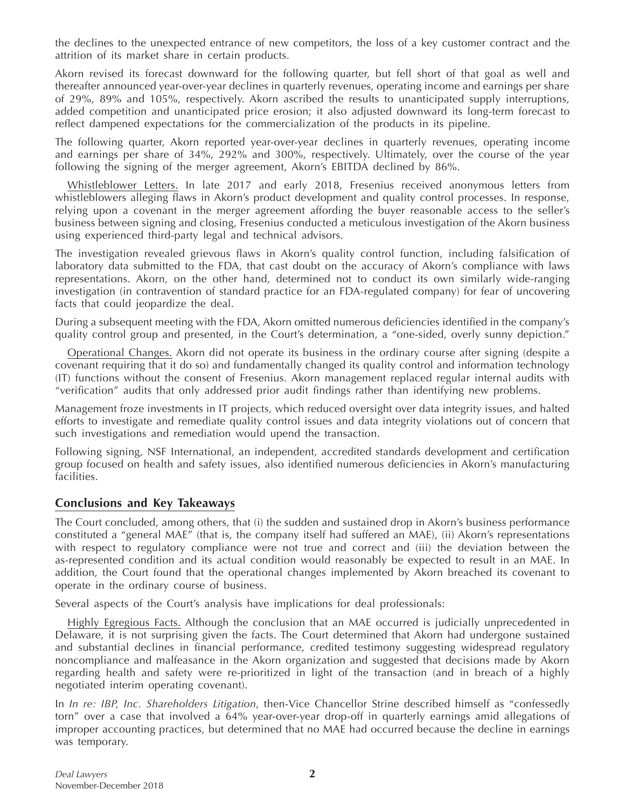the declines to the unexpected entrance of new competitors, the loss of a key customer contract and the attrition of its market share in certain products.

Akorn revised its forecast downward for the following quarter, but fell short of that goal as well and thereafter announced year-over-year declines in quarterly revenues, operating income and earnings per share of 29%, 89% and 105%, respectively. Akorn ascribed the results to unanticipated supply interruptions, added competition and unanticipated price erosion; it also adjusted downward its long-term forecast to reflect dampened expectations for the commercialization of the products in its pipeline.

The following quarter, Akorn reported year-over-year declines in quarterly revenues, operating income and earnings per share of 34%, 292% and 300%, respectively. Ultimately, over the course of the year following the signing of the merger agreement, Akorn's EBITDA declined by 86%.

Whistleblower Letters. In late 2017 and early 2018, Fresenius received anonymous letters from whistleblowers alleging flaws in Akorn's product development and quality control processes. In response, relying upon a covenant in the merger agreement affording the buyer reasonable access to the seller's business between signing and closing, Fresenius conducted a meticulous investigation of the Akorn business using experienced third-party legal and technical advisors.

The investigation revealed grievous flaws in Akorn's quality control function, including falsification of laboratory data submitted to the FDA, that cast doubt on the accuracy of Akorn's compliance with laws representations. Akorn, on the other hand, determined not to conduct its own similarly wide-ranging investigation (in contravention of standard practice for an FDA-regulated company) for fear of uncovering facts that could jeopardize the deal.

During a subsequent meeting with the FDA, Akorn omitted numerous deficiencies identified in the company's quality control group and presented, in the Court's determination, a "one-sided, overly sunny depiction."

Operational Changes. Akorn did not operate its business in the ordinary course after signing (despite a covenant requiring that it do so) and fundamentally changed its quality control and information technology (IT) functions without the consent of Fresenius. Akorn management replaced regular internal audits with "verification" audits that only addressed prior audit findings rather than identifying new problems.

Management froze investments in IT projects, which reduced oversight over data integrity issues, and halted efforts to investigate and remediate quality control issues and data integrity violations out of concern that such investigations and remediation would upend the transaction.

Following signing, NSF International, an independent, accredited standards development and certification group focused on health and safety issues, also identified numerous deficiencies in Akorn's manufacturing facilities.

#### **Conclusions and Key Takeaways**

The Court concluded, among others, that (i) the sudden and sustained drop in Akorn's business performance constituted a "general MAE" (that is, the company itself had suffered an MAE), (ii) Akorn's representations with respect to regulatory compliance were not true and correct and (iii) the deviation between the as-represented condition and its actual condition would reasonably be expected to result in an MAE. In addition, the Court found that the operational changes implemented by Akorn breached its covenant to operate in the ordinary course of business.

Several aspects of the Court's analysis have implications for deal professionals:

Highly Egregious Facts. Although the conclusion that an MAE occurred is judicially unprecedented in Delaware, it is not surprising given the facts. The Court determined that Akorn had undergone sustained and substantial declines in financial performance, credited testimony suggesting widespread regulatory noncompliance and malfeasance in the Akorn organization and suggested that decisions made by Akorn regarding health and safety were re-prioritized in light of the transaction (and in breach of a highly negotiated interim operating covenant).

In *In re: IBP, Inc. Shareholders Litigation*, then-Vice Chancellor Strine described himself as "confessedly torn" over a case that involved a 64% year-over-year drop-off in quarterly earnings amid allegations of improper accounting practices, but determined that no MAE had occurred because the decline in earnings was temporary.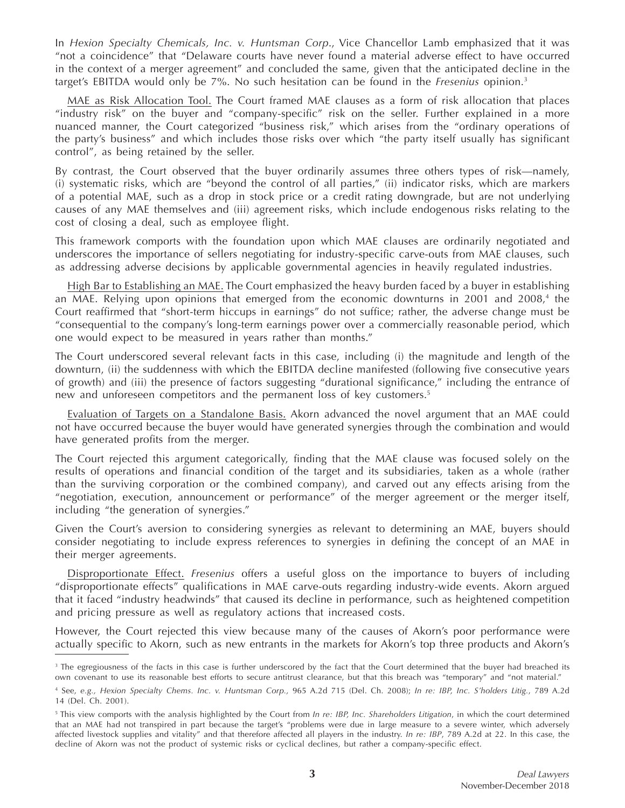In *Hexion Specialty Chemicals, Inc. v. Huntsman Corp*., Vice Chancellor Lamb emphasized that it was "not a coincidence" that "Delaware courts have never found a material adverse effect to have occurred in the context of a merger agreement" and concluded the same, given that the anticipated decline in the target's EBITDA would only be 7%. No such hesitation can be found in the *Fresenius* opinion. 3

MAE as Risk Allocation Tool. The Court framed MAE clauses as a form of risk allocation that places "industry risk" on the buyer and "company-specific" risk on the seller. Further explained in a more nuanced manner, the Court categorized "business risk," which arises from the "ordinary operations of the party's business" and which includes those risks over which "the party itself usually has significant control", as being retained by the seller.

By contrast, the Court observed that the buyer ordinarily assumes three others types of risk—namely, (i) systematic risks, which are "beyond the control of all parties," (ii) indicator risks, which are markers of a potential MAE, such as a drop in stock price or a credit rating downgrade, but are not underlying causes of any MAE themselves and (iii) agreement risks, which include endogenous risks relating to the cost of closing a deal, such as employee flight.

This framework comports with the foundation upon which MAE clauses are ordinarily negotiated and underscores the importance of sellers negotiating for industry-specific carve-outs from MAE clauses, such as addressing adverse decisions by applicable governmental agencies in heavily regulated industries.

High Bar to Establishing an MAE. The Court emphasized the heavy burden faced by a buyer in establishing an MAE. Relying upon opinions that emerged from the economic downturns in 2001 and 2008 $^4$  the Court reaffirmed that "short-term hiccups in earnings" do not suffice; rather, the adverse change must be "consequential to the company's long-term earnings power over a commercially reasonable period, which one would expect to be measured in years rather than months."

The Court underscored several relevant facts in this case, including (i) the magnitude and length of the downturn, (ii) the suddenness with which the EBITDA decline manifested (following five consecutive years of growth) and (iii) the presence of factors suggesting "durational significance," including the entrance of new and unforeseen competitors and the permanent loss of key customers. 5

Evaluation of Targets on a Standalone Basis. Akorn advanced the novel argument that an MAE could not have occurred because the buyer would have generated synergies through the combination and would have generated profits from the merger.

The Court rejected this argument categorically, finding that the MAE clause was focused solely on the results of operations and financial condition of the target and its subsidiaries, taken as a whole (rather than the surviving corporation or the combined company), and carved out any effects arising from the "negotiation, execution, announcement or performance" of the merger agreement or the merger itself, including "the generation of synergies."

Given the Court's aversion to considering synergies as relevant to determining an MAE, buyers should consider negotiating to include express references to synergies in defining the concept of an MAE in their merger agreements.

Disproportionate Effect. *Fresenius* offers a useful gloss on the importance to buyers of including "disproportionate effects" qualifications in MAE carve-outs regarding industry-wide events. Akorn argued that it faced "industry headwinds" that caused its decline in performance, such as heightened competition and pricing pressure as well as regulatory actions that increased costs.

However, the Court rejected this view because many of the causes of Akorn's poor performance were actually specific to Akorn, such as new entrants in the markets for Akorn's top three products and Akorn's

<sup>&</sup>lt;sup>3</sup> The egregiousness of the facts in this case is further underscored by the fact that the Court determined that the buyer had breached its own covenant to use its reasonable best efforts to secure antitrust clearance, but that this breach was "temporary" and "not material."

<sup>4</sup> See, *e.g., Hexion Specialty Chems. Inc. v. Huntsman Corp.,* 965 A.2d 715 (Del. Ch. 2008); *In re: IBP, Inc. S'holders Litig.*, 789 A.2d 14 (Del. Ch. 2001).

<sup>5</sup> This view comports with the analysis highlighted by the Court from *In re: IBP, Inc. Shareholders Litigation*, in which the court determined that an MAE had not transpired in part because the target's "problems were due in large measure to a severe winter, which adversely affected livestock supplies and vitality" and that therefore affected all players in the industry. *In re: IBP*, 789 A.2d at 22. In this case, the decline of Akorn was not the product of systemic risks or cyclical declines, but rather a company-specific effect.